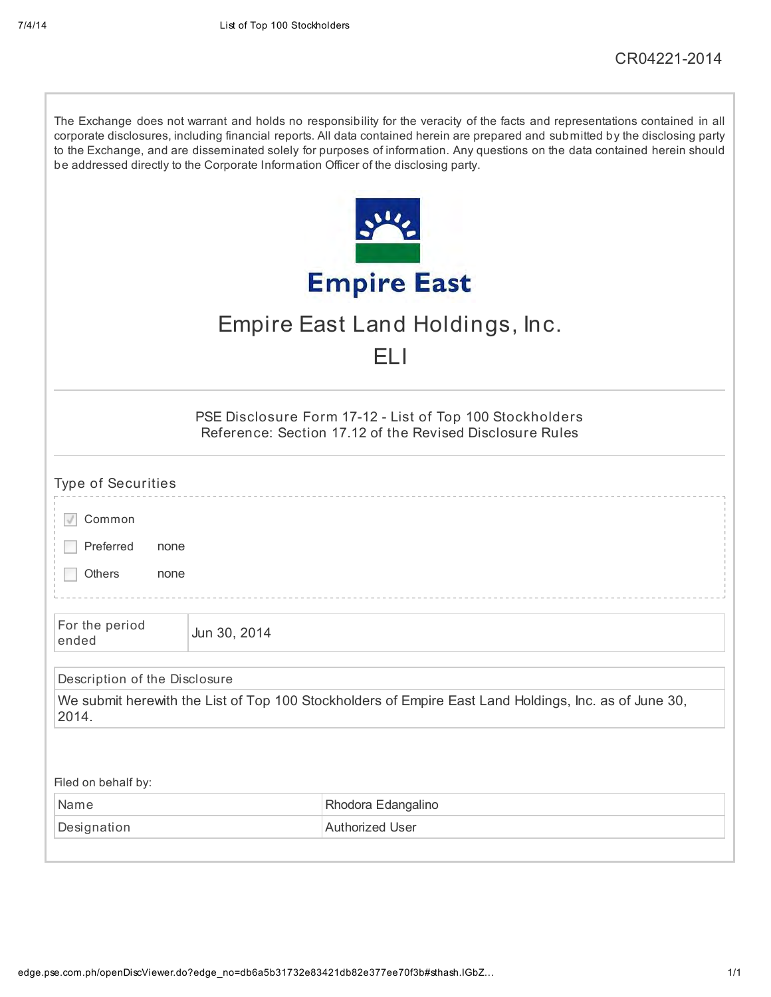| The Exchange does not warrant and holds no responsibility for the veracity of the facts and representations contained in all<br>corporate disclosures, including financial reports. All data contained herein are prepared and submitted by the disclosing party<br>to the Exchange, and are disseminated solely for purposes of information. Any questions on the data contained herein should<br>be addressed directly to the Corporate Information Officer of the disclosing party. |              |                                                                                                                      |  |  |  |  |
|----------------------------------------------------------------------------------------------------------------------------------------------------------------------------------------------------------------------------------------------------------------------------------------------------------------------------------------------------------------------------------------------------------------------------------------------------------------------------------------|--------------|----------------------------------------------------------------------------------------------------------------------|--|--|--|--|
|                                                                                                                                                                                                                                                                                                                                                                                                                                                                                        |              |                                                                                                                      |  |  |  |  |
|                                                                                                                                                                                                                                                                                                                                                                                                                                                                                        |              | <b>Empire East</b>                                                                                                   |  |  |  |  |
|                                                                                                                                                                                                                                                                                                                                                                                                                                                                                        |              | Empire East Land Holdings, Inc.                                                                                      |  |  |  |  |
|                                                                                                                                                                                                                                                                                                                                                                                                                                                                                        |              | FL I                                                                                                                 |  |  |  |  |
|                                                                                                                                                                                                                                                                                                                                                                                                                                                                                        |              | PSE Disclosure Form 17-12 - List of Top 100 Stockholders<br>Reference: Section 17.12 of the Revised Disclosure Rules |  |  |  |  |
| <b>Type of Securities</b>                                                                                                                                                                                                                                                                                                                                                                                                                                                              |              |                                                                                                                      |  |  |  |  |
| Common                                                                                                                                                                                                                                                                                                                                                                                                                                                                                 |              |                                                                                                                      |  |  |  |  |
| Preferred<br>none                                                                                                                                                                                                                                                                                                                                                                                                                                                                      |              |                                                                                                                      |  |  |  |  |
| Others<br>none                                                                                                                                                                                                                                                                                                                                                                                                                                                                         |              |                                                                                                                      |  |  |  |  |
| For the period<br>ended                                                                                                                                                                                                                                                                                                                                                                                                                                                                | Jun 30, 2014 |                                                                                                                      |  |  |  |  |
| Description of the Disclosure                                                                                                                                                                                                                                                                                                                                                                                                                                                          |              |                                                                                                                      |  |  |  |  |
| 2014.                                                                                                                                                                                                                                                                                                                                                                                                                                                                                  |              | We submit herewith the List of Top 100 Stockholders of Empire East Land Holdings, Inc. as of June 30,                |  |  |  |  |
|                                                                                                                                                                                                                                                                                                                                                                                                                                                                                        |              |                                                                                                                      |  |  |  |  |
| Filed on behalf by:                                                                                                                                                                                                                                                                                                                                                                                                                                                                    |              |                                                                                                                      |  |  |  |  |
| Name                                                                                                                                                                                                                                                                                                                                                                                                                                                                                   |              | Rhodora Edangalino                                                                                                   |  |  |  |  |
| Designation                                                                                                                                                                                                                                                                                                                                                                                                                                                                            |              | <b>Authorized User</b>                                                                                               |  |  |  |  |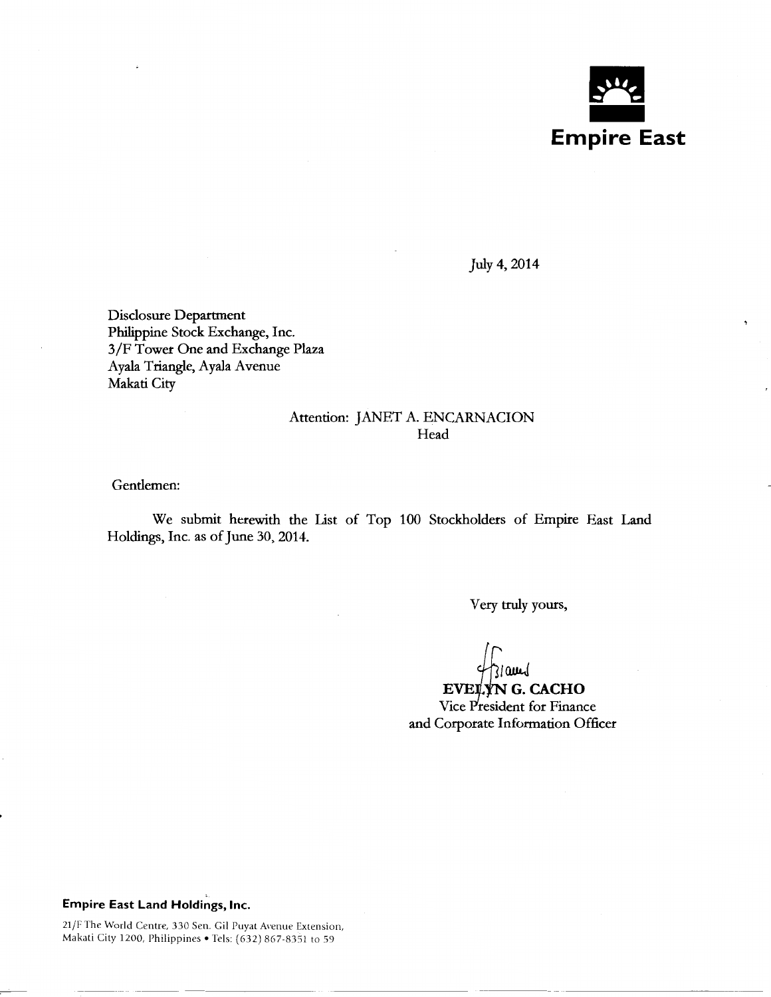

July4, 2014

Disclosure Department Philippine Stock Exchange, Inc. 3/F Tower One and Exchange Plaza Ayala Triangle, Ayala Avenue Makati City

## Attention: JANET A. ENCARNACION Head

Gentlemen:

We submit herewith the List of Top 100 Stockholders of Empire East Land Holdings, Inc. as of June 30,2014.

Very truly yours,

EVELYN G. CACHO Vice President for Finance and Corporate Information Officer

## **Empire East Land Holdings, Inc.**

21/F The World Centre, 330 Sen. Gil Puyat Avenue Extension, Makati City 1200, Philippines • Tels: (632) 867-8351 to 59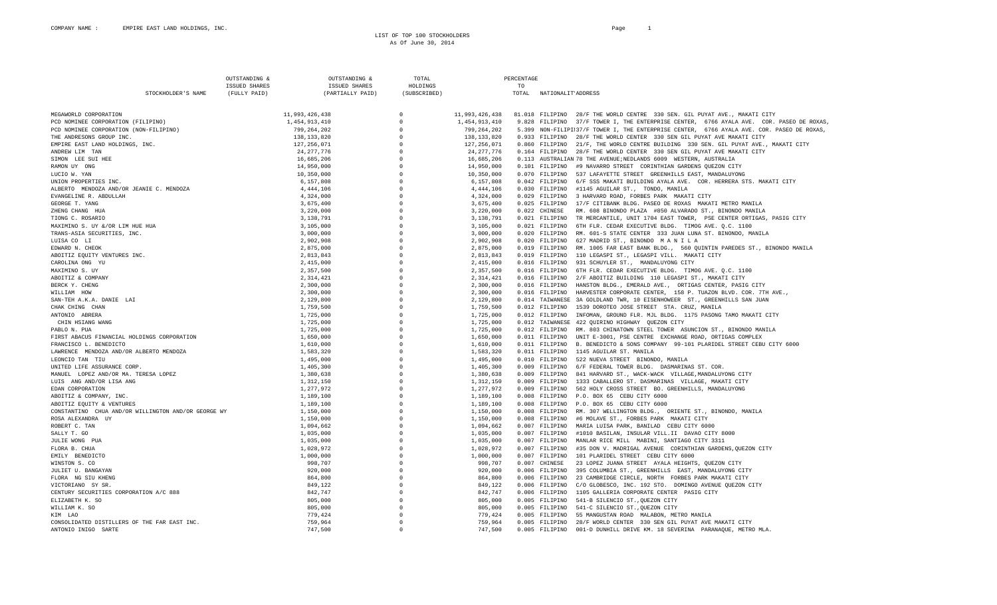LIST OF TOP 100 STOCKHOLDERS As Of June 30, 2014

|                                                     |                    | OUTSTANDING          | OUTSTANDING &        | TOTAL                  |                | PERCENTAGE |                    |                                                                                            |
|-----------------------------------------------------|--------------------|----------------------|----------------------|------------------------|----------------|------------|--------------------|--------------------------------------------------------------------------------------------|
|                                                     |                    | <b>ISSUED SHARES</b> | <b>ISSUED SHARES</b> | HOLDINGS               |                | TO         |                    |                                                                                            |
|                                                     | STOCKHOLDER'S NAME | (FULLY PAID)         | (PARTIALLY PAID)     | (SUBSCRIBED)           |                | TOTAL      | NATIONALIT'ADDRESS |                                                                                            |
|                                                     |                    |                      |                      |                        |                |            |                    |                                                                                            |
| MEGAWORLD CORPORATION                               |                    |                      | 11,993,426,438       | $\Omega$               | 11,993,426,438 |            |                    | 81.018 FILIPINO 28/F THE WORLD CENTRE 330 SEN. GIL PUYAT AVE., MAKATI CITY                 |
| PCD NOMINEE CORPORATION (FILIPINO)                  |                    |                      | 1,454,913,410        | $\mathbf{0}$           | 1,454,913,410  |            | 9.828 FILIPINO     | 37/F TOWER I, THE ENTERPRISE CENTER, 6766 AYALA AVE. COR. PASEO DE ROXAS,                  |
| PCD NOMINEE CORPORATION (NON-FILIPINO)              |                    |                      | 799,264,202          | $\Omega$               | 799, 264, 202  |            |                    | 5.399 NON-FILIPII37/F TOWER I, THE ENTERPRISE CENTER, 6766 AYALA AVE. COR. PASEO DE ROXAS, |
| THE ANDRESONS GROUP INC.                            |                    |                      | 138,133,820          | $\mathbf{0}$           | 138, 133, 820  |            | 0.933 FILIPINO     | 28/F THE WORLD CENTER 330 SEN GIL PUYAT AVE MAKATI CITY                                    |
| EMPIRE EAST LAND HOLDINGS, INC.                     |                    |                      | 127, 256, 071        | $\cap$                 | 127, 256, 071  |            | 0.860 FILIPINO     | 21/F, THE WORLD CENTRE BUILDING 330 SEN. GIL PUYAT AVE., MAKATI CITY                       |
| ANDREW LIM TAN                                      |                    |                      | 24, 277, 776         | $\Omega$               | 24, 277, 776   |            | 0.164 FILIPINO     | 28/F THE WORLD CENTER 330 SEN GIL PUYAT AVE MAKATI CITY                                    |
| SIMON LEE SUI HEE                                   |                    |                      | 16,685,206           | $\Omega$               | 16,685,206     |            |                    | 0.113 AUSTRALIAN 78 THE AVENUE; NEDLANDS 6009 WESTERN, AUSTRALIA                           |
| RAMON UY ONG                                        |                    |                      | 14,950,000           | $\Omega$               | 14,950,000     |            | 0.101 FILIPINO     | #9 NAVARRO STREET CORINTHIAN GARDENS OUEZON CITY                                           |
|                                                     |                    |                      |                      | $\Omega$               |                |            |                    |                                                                                            |
| LUCIO W. YAN                                        |                    |                      | 10,350,000           | $\Omega$               | 10,350,000     |            | 0.070 FILIPINO     | 537 LAFAYETTE STREET GREENHILLS EAST, MANDALUYONG                                          |
| UNION PROPERTIES INC.                               |                    |                      | 6,157,808            |                        | 6,157,808      |            | $0.042$ FILIPINO   | 6/F SSS MAKATI BUILDING AYALA AVE. COR. HERRERA STS. MAKATI CITY                           |
| ALBERTO MENDOZA AND/OR JEANIE C. MENDOZA            |                    |                      | 4, 444, 106          | $\Omega$               | 4, 444, 106    |            | 0.030 FILIPINO     | #1145 AGUILAR ST., TONDO, MANILA                                                           |
| EVANGELINE R. ABDULLAH                              |                    |                      | 4,324,000            | $\cap$                 | 4,324,000      |            |                    | 0.029 FILIPINO 3 HARVARD ROAD, FORBES PARK MAKATI CITY                                     |
| GEORGE T. YANG                                      |                    |                      | 3,675,400            | $\mathbf{0}$           | 3,675,400      |            | 0.025 FILIPINO     | 17/F CITIBANK BLDG. PASEO DE ROXAS MAKATI METRO MANILA                                     |
| ZHENG CHANG HUA                                     |                    |                      | 3,220,000            | $\Omega$               | 3,220,000      |            | 0.022 CHINESE      | RM. 608 BINONDO PLAZA #850 ALVARADO ST., BINONDO MANILA                                    |
| TIONG C. ROSARIO                                    |                    |                      | 3,138,791            | $\Omega$               | 3,138,791      |            | 0.021 FILIPINO     | TR MERCANTILE, UNIT 1704 EAST TOWER, PSE CENTER ORTIGAS, PASIG CITY                        |
| MAXIMINO S. UY &/OR LIM HUE HUA                     |                    |                      | 3,105,000            | $\Omega$               | 3,105,000      |            | 0.021 FILIPINO     | 6TH FLR. CEDAR EXECUTIVE BLDG. TIMOG AVE. Q.C. 1100                                        |
| TRANS-ASIA SECURITIES, INC.                         |                    |                      | 3,000,000            | $\circ$                | 3,000,000      |            | 0.020 FILIPINO     | RM. 601-S STATE CENTER 333 JUAN LUNA ST. BINONDO, MANILA                                   |
| LUISA CO LI                                         |                    |                      | 2,902,908            | $\mathbf{0}$           | 2,902,908      |            | 0.020 FILIPINO     | 627 MADRID ST., BINONDO MANILA                                                             |
| EDWARD N. CHEOK                                     |                    |                      | 2,875,000            | $\Omega$               | 2,875,000      |            | 0.019 FILIPINO     | RM. 1005 FAR EAST BANK BLDG., 560 QUINTIN PAREDES ST., BINONDO MANILA                      |
| ABOITIZ EQUITY VENTURES INC.                        |                    |                      | 2,813,843            | $\Omega$               | 2,813,843      |            | 0.019 FILIPINO     | 110 LEGASPI ST., LEGASPI VILL. MAKATI CITY                                                 |
| CAROLINA ONG YU                                     |                    |                      | 2,415,000            | $\Omega$               | 2,415,000      |            | 0.016 FILIPINO     | 931 SCHUYLER ST., MANDALUYONG CITY                                                         |
| MAXIMINO S. UY                                      |                    |                      | 2,357,500            | $\Omega$               | 2,357,500      |            | 0.016 FILIPINO     | 6TH FLR. CEDAR EXECUTIVE BLDG. TIMOG AVE. Q.C. 1100                                        |
| ABOITIZ & COMPANY                                   |                    |                      | 2,314,421            | $\circ$                | 2, 314, 421    |            | 0.016 FILIPINO     | 2/F ABOITIZ BUILDING 110 LEGASPI ST., MAKATI CITY                                          |
| BERCK Y. CHENG                                      |                    |                      | 2,300,000            | $\Omega$               | 2,300,000      |            | 0.016 FILIPINO     | HANSTON BLDG., EMERALD AVE., ORTIGAS CENTER, PASIG CITY                                    |
| WILLIAM HOW                                         |                    |                      | 2,300,000            | $\circ$                | 2,300,000      |            | 0.016 FILIPINO     | HARVESTER CORPORATE CENTER, 158 P. TUAZON BLVD. COR. 7TH AVE.,                             |
|                                                     |                    |                      |                      | $\Omega$               |                |            |                    | 0.014 TAIWANESE 3A GOLDLAND TWR, 10 EISENHOWEER ST., GREENHILLS SAN JUAN                   |
| SAN-TEH A.K.A. DANIE LAI                            |                    |                      | 2,129,800            |                        | 2,129,800      |            |                    |                                                                                            |
| CHAK CHING CHAN                                     |                    |                      | 1,759,500            | $^{\circ}$<br>$\Omega$ | 1,759,500      |            | 0.012 FILIPINO     | 1539 DOROTEO JOSE STREET STA. CRUZ, MANILA                                                 |
| ANTONIO ABRERA                                      |                    |                      | 1,725,000            |                        | 1,725,000      |            | 0.012 FILIPINO     | INFOMAN, GROUND FLR. MJL BLDG. 1175 PASONG TAMO MAKATI CITY                                |
| CHIN HSIANG WANG                                    |                    |                      | 1,725,000            | $\Omega$               | 1,725,000      |            |                    | 0.012 TAIWANESE 422 QUIRINO HIGHWAY QUEZON CITY                                            |
| PABLO N. PUA                                        |                    |                      | 1,725,000            | $\Omega$               | 1,725,000      |            | 0.012 FILIPINO     | RM. 803 CHINATOWN STEEL TOWER ASUNCION ST., BINONDO MANILA                                 |
| FIRST ABACUS FINANCIAL HOLDINGS CORPORATION         |                    |                      | 1,650,000            | $\Omega$               | 1,650,000      |            | 0.011 FILIPINO     | UNIT E-3001, PSE CENTRE EXCHANGE ROAD, ORTIGAS COMPLEX                                     |
| FRANCISCO L. BENEDICTO                              |                    |                      | 1,610,000            | $\Omega$               | 1,610,000      |            | 0.011 FILIPINO     | B. BENEDICTO & SONS COMPANY 99-101 PLARIDEL STREET CEBU CITY 6000                          |
| LAWRENCE MENDOZA AND/OR ALBERTO MENDOZA             |                    |                      | 1,583,320            | $\Omega$               | 1,583,320      |            | 0.011 FILIPINO     | 1145 AGUILAR ST. MANILA                                                                    |
| LEONCIO TAN TIU                                     |                    |                      | 1,495,000            | $\Omega$               | 1,495,000      |            | 0.010 FILIPINO     | 522 NUEVA STREET BINONDO, MANILA                                                           |
| UNITED LIFE ASSURANCE CORP.                         |                    |                      | 1,405,300            | $\cap$                 | 1,405,300      |            | 0.009 FILIPINO     | 6/F FEDERAL TOWER BLDG. DASMARINAS ST. COR.                                                |
| MANUEL LOPEZ AND/OR MA. TERESA LOPEZ                |                    |                      | 1,380,638            | $\Omega$               | 1,380,638      |            | 0.009 FILIPINO     | 841 HARVARD ST., WACK-WACK VILLAGE, MANDALUYONG CITY                                       |
| LUIS ANG AND/OR LISA ANG                            |                    |                      | 1,312,150            | $\Omega$               | 1,312,150      |            | 0.009 FILIPINO     | 1333 CABALLERO ST. DASMARINAS VILLAGE, MAKATI CITY                                         |
| EDAN CORPORATION                                    |                    |                      | 1,277,972            | $\circ$                | 1,277,972      |            | 0.009 FILIPINO     | 562 HOLY CROSS STREET BO. GREENHILLS, MANDALUYONG                                          |
| ABOITIZ & COMPANY, INC.                             |                    |                      | 1,189,100            | $\Omega$               | 1,189,100      |            | 0.008 FILIPINO     | P.O. BOX 65 CEBU CITY 6000                                                                 |
| ABOITIZ EQUITY & VENTURES                           |                    |                      | 1,189,100            | $\circ$                | 1,189,100      |            | 0.008 FILIPINO     | P.O. BOX 65 CEBU CITY 6000                                                                 |
| CONSTANTINO CHUA AND/OR WILLINGTON AND/OR GEORGE WY |                    |                      | 1,150,000            | $^{\circ}$             | 1,150,000      |            | 0.008 FILIPINO     | RM. 307 WELLINGTON BLDG., ORIENTE ST., BINONDO, MANILA                                     |
| ROSA ALEXANDRA UY                                   |                    |                      | 1,150,000            | $\Omega$               | 1,150,000      |            | 0.008 FILIPINO     | #6 MOLAVE ST., FORBES PARK MAKATI CITY                                                     |
| ROBERT C. TAN                                       |                    |                      | 1,094,662            | $\Omega$               | 1,094,662      |            | 0.007 FILIPINO     | MARIA LUISA PARK, BANILAD CEBU CITY 6000                                                   |
| SALLY T. GO                                         |                    |                      | 1,035,000            | $\Omega$               | 1,035,000      |            | 0.007 FILIPINO     | #1010 BASILAN, INSULAR VILL.II DAVAO CITY 8000                                             |
| JULIE WONG PUA                                      |                    |                      | 1,035,000            | $\Omega$               | 1,035,000      |            | 0.007 FILIPINO     | MANLAR RICE MILL MABINI, SANTIAGO CITY 3311                                                |
| FLORA B. CHUA                                       |                    |                      | 1,028,972            | $\Omega$               | 1,028,972      |            | 0.007 FILIPINO     | #35 DON V. MADRIGAL AVENUE CORINTHIAN GARDENS, QUEZON CITY                                 |
| EMILY BENEDICTO                                     |                    |                      | 1,000,000            | $\Omega$               | 1,000,000      |            | 0.007 FILIPINO     | 101 PLARIDEL STREET CEBU CITY 6000                                                         |
|                                                     |                    |                      | 998,707              | $\circ$                |                |            |                    |                                                                                            |
| WINSTON S. CO                                       |                    |                      |                      |                        | 998,707        |            | 0.007 CHINESE      | 23 LOPEZ JUANA STREET AYALA HEIGHTS, QUEZON CITY                                           |
| JULIET U. BANGAYAN                                  |                    |                      | 920,000              | $\Omega$               | 920,000        |            | 0.006 FILIPINO     | 395 COLUMBIA ST., GREENHILLS EAST, MANDALUYONG CITY                                        |
| FLORA NG SIU KHENG                                  |                    |                      | 864,800              | $\mathbf{0}$           | 864,800        |            | 0.006 FILIPINO     | 23 CAMBRIDGE CIRCLE, NORTH FORBES PARK MAKATI CITY                                         |
| VICTORIANO SY SR.                                   |                    |                      | 849,122              | $\Omega$               | 849,122        |            | 0.006 FILIPINO     | C/O GLOBESCO, INC. 192 STO. DOMINGO AVENUE QUEZON CITY                                     |
| CENTURY SECURITIES CORPORATION A/C 888              |                    |                      | 842,747              | $\Omega$               | 842,747        |            | 0.006 FILIPINO     | 1105 GALLERIA CORPORATE CENTER PASIG CITY                                                  |
| ELIZABETH K. SO                                     |                    |                      | 805,000              | $\Omega$               | 805,000        |            | 0.005 FILIPINO     | 541-B SILENCIO ST., OUEZON CITY                                                            |
| WILLIAM K. SO                                       |                    |                      | 805,000              | $\Omega$               | 805,000        |            | 0.005 FILIPINO     | 541-C SILENCIO ST., QUEZON CITY                                                            |
| KTM TAO                                             |                    |                      | 779,424              | $\Omega$               | 779,424        |            | 0.005 FILIPINO     | 55 MANGUSTAN ROAD MALABON, METRO MANILA                                                    |
| CONSOLIDATED DISTILLERS OF THE FAR EAST INC.        |                    |                      | 759,964              | $\Omega$               | 759,964        |            |                    | 0.005 FILIPINO 28/F WORLD CENTER 330 SEN GIL PUYAT AVE MAKATI CITY                         |
| ANTONIO INIGO SARTE                                 |                    |                      | 747.500              | $\cap$                 | 747,500        |            | 0.005 FILIPINO     | 001-D DUNHILL DRIVE KM. 18 SEVERINA PARANAQUE, METRO MLA.                                  |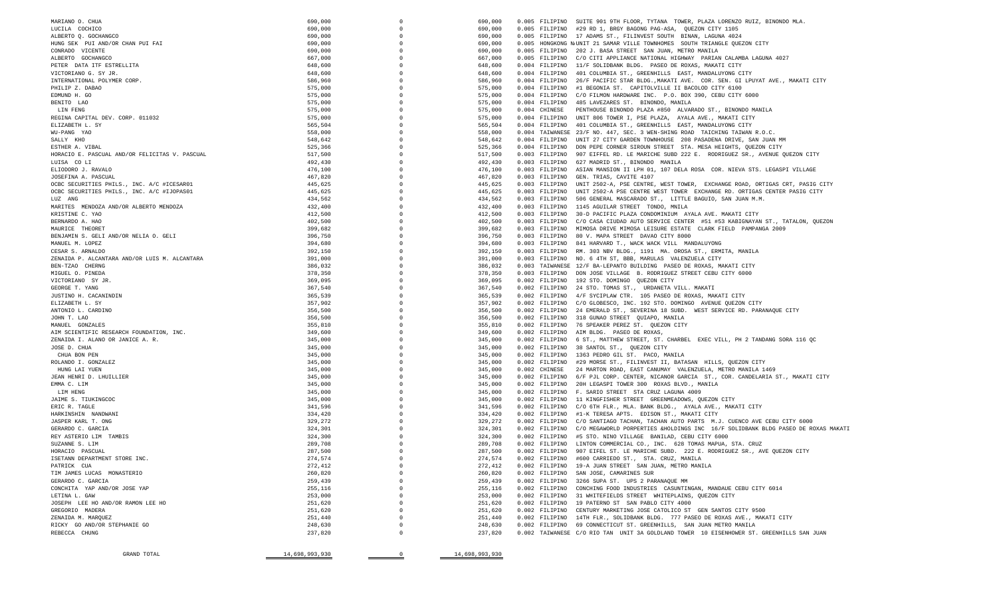| GRAND TOTAL                                                       | 14,698,993,930     | $\circ$ | 14,698,993,930     |               |                                                                                                                                                                 |
|-------------------------------------------------------------------|--------------------|---------|--------------------|---------------|-----------------------------------------------------------------------------------------------------------------------------------------------------------------|
|                                                                   |                    |         |                    |               |                                                                                                                                                                 |
| RICKY GO AND/OR STEPHANIE GO<br>REBECCA CHUNG                     | 248,630<br>237,820 |         | 248,630<br>237,820 |               | 0.002 FILIPINO 69 CONNECTICUT ST. GREENHILLS, SAN JUAN METRO MANILA<br>0.002 TAIWANESE C/O RIO TAN UNIT 3A GOLDLAND TOWER 10 EISENHOWER ST. GREENHILLS SAN JUAN |
| ZENAIDA M. MARQUEZ                                                | 251,440            |         | 251,440            |               | 0.002 FILIPINO 14TH FLR., SOLIDBANK BLDG. 777 PASEO DE ROXAS AVE., MAKATI CITY                                                                                  |
| GREGORIO MADERA                                                   | 251,620            |         | 251,620            |               | 0.002 FILIPINO CENTURY MARKETING JOSE CATOLICO ST GEN SANTOS CITY 9500                                                                                          |
| JOSEPH LEE HO AND/OR RAMON LEE HO                                 | 251,620            |         | 251,620            |               | 0.002 FILIPINO 19 PATERNO ST SAN PABLO CITY 4000                                                                                                                |
| LETINA L. GAW                                                     | 253,000            |         | 253,000            |               | 0.002 FILIPINO 31 WHITEFIELDS STREET WHITEPLAINS, QUEZON CITY                                                                                                   |
| CONCHITA YAP AND/OR JOSE YAP                                      | 255,116            |         | 255,116            |               | 0.002 FILIPINO CONCHING FOOD INDUSTRIES CASUNTINGAN, MANDAUE CEBU CITY 6014                                                                                     |
| GERARDO C. GARCIA                                                 | 259,439            |         | 259,439            |               | 0.002 FILIPINO 3266 SUPA ST. UPS 2 PARANAQUE MM                                                                                                                 |
| PATRICK CUA<br>TIM JAMES LUCAS MONASTERIO                         | 272,412<br>260,820 |         | 272,412<br>260,820 |               | 0.002 FILIPINO 19-A JUAN STREET SAN JUAN, METRO MANILA<br>0.002 FILIPINO SAN JOSE, CAMARINES SUR                                                                |
| ISETANN DEPARTMENT STORE INC.                                     | 274,574            |         | 274,574            |               | 0.002 FILIPINO #600 CARRIEDO ST., STA. CRUZ, MANILA                                                                                                             |
| HORACIO PASCUAL                                                   | 287,500            |         | 287,500            |               | 0.002 FILIPINO 907 EIFEL ST. LE MARICHE SUBD. 222 E. RODRIGUEZ SR., AVE QUEZON CITY                                                                             |
| SUZANNE S. LIM                                                    | 289,708            |         | 289,708            |               | 0.002 FILIPINO LINTON COMMERCIAL CO., INC. 628 TOMAS MAPUA, STA. CRUZ                                                                                           |
| REY ASTERIO LIM TAMBIS                                            | 324,300            |         | 324,300            |               | 0.002 FILIPINO #5 STO. NINO VILLAGE BANILAD, CEBU CITY 6000                                                                                                     |
| GERARDO C. GARCIA                                                 | 324,301            |         | 324,301            |               | 0.002 FILIPINO C/O MEGAWORLD PORPERTIES &HOLDINGS INC 16/F SOLIDBANK BLDG PASEO DE ROXAS MAKATI                                                                 |
| JASPER KARL T. ONG                                                | 329,272            |         | 329,272            |               | 0.002 FILIPINO C/O SANTIAGO TACHAN, TACHAN AUTO PARTS M.J. CUENCO AVE CEBU CITY 6000                                                                            |
| ERIC R. TAGLE<br>HARKINSHIN NANDWANI                              | 341,596<br>334,420 |         | 341,596<br>334,420 |               | 0.002 FILIPINO C/O 6TH FLR., MLA. BANK BLDG., AYALA AVE., MAKATI CITY<br>0.002 FILIPINO #1-K TERESA APTS. EDISON ST., MAKATI CITY                               |
| JAIME S. TIUKINGCOC                                               | 345,000            |         | 345,000            |               | 0.002 FILIPINO 11 KINGFISHER STREET GREENMEADOWS, QUEZON CITY                                                                                                   |
| LIM HENG                                                          | 345,000            |         | 345,000            |               | 0.002 FILIPINO F. SARIO STREET STA CRUZ LAGUNA 4009                                                                                                             |
| EMMA C. LIM                                                       | 345,000            |         | 345,000            |               | 0.002 FILIPINO 20H LEGASPI TOWER 300 ROXAS BLVD., MANILA                                                                                                        |
| JEAN HENRI D. LHUILLIER                                           | 345,000            |         | 345,000            |               | 0.002 FILIPINO 6/F PJL CORP. CENTER, NICANOR GARCIA ST., COR. CANDELARIA ST., MAKATI CITY                                                                       |
| HUNG LAI YUEN                                                     | 345,000            |         | 345,000            | 0.002 CHINESE | 24 MARTON ROAD, EAST CANUMAY VALENZUELA, METRO MANILA 1469                                                                                                      |
| ROLANDO I. GONZALEZ                                               | 345,000            |         | 345,000            |               | 0.002 FILIPINO #29 MORSE ST., FILINVEST II, BATASAN HILLS, QUEZON CITY                                                                                          |
| CHUA BON PEN                                                      | 345,000            |         | 345,000            |               | 0.002 FILIPINO 1363 PEDRO GIL ST. PACO, MANILA                                                                                                                  |
| JOSE D. CHUA                                                      | 345,000            |         | 345,000            |               | 0.002 FILIPINO 38 SANTOL ST., QUEZON CITY                                                                                                                       |
| ZENAIDA I. ALANO OR JANICE A. R.                                  | 345,000            |         | 345,000            |               | 0.002 FILIPINO 6 ST., MATTHEW STREET, ST. CHARBEL EXEC VILL, PH 2 TANDANG SORA 116 QC                                                                           |
| AIM SCIENTIFIC RESEARCH FOUNDATION, INC.                          | 349,600            |         | 349,600            |               | 0.002 FILIPINO AIM BLDG. PASEO DE ROXAS,                                                                                                                        |
| JOHN T. LAO<br>MANUEL GONZALES                                    | 356,500<br>355,810 |         | 356,500<br>355,810 |               | 0.002 FILIPINO 318 GUNAO STREET QUIAPO, MANILA<br>0.002 FILIPINO 76 SPEAKER PEREZ ST. QUEZON CITY                                                               |
| ANTONIO L. CARDINO                                                | 356,500            |         | 356,500            |               | 0.002 FILIPINO 24 EMERALD ST., SEVERINA 18 SUBD. WEST SERVICE RD. PARANAQUE CITY                                                                                |
| ELIZABETH L. SY                                                   | 357,902            |         | 357,902            |               | 0.002 FILIPINO C/O GLOBESCO, INC. 192 STO. DOMINGO AVENUE QUEZON CITY                                                                                           |
| JUSTINO H. CACANINDIN                                             | 365,539            |         | 365,539            |               | 0.002 FILIPINO 4/F SYCIPLAW CTR. 105 PASEO DE ROXAS, MAKATI CITY                                                                                                |
| GEORGE T. YANG                                                    | 367,540            |         | 367,540            |               | 0.002 FILIPINO 24 STO. TOMAS ST., URDANETA VILL. MAKATI                                                                                                         |
| VICTORIANO SY JR.                                                 | 369,095            |         | 369,095            |               | 0.002 FILIPINO 192 STO. DOMINGO QUEZON CITY                                                                                                                     |
| MIGUEL O. PINEDA                                                  | 378,350            |         | 378,350            |               | 0.003 FILIPINO DON JOSE VILLAGE B. RODRIGUEZ STREET CEBU CITY 6000                                                                                              |
| BEN-TZAO CHERNG                                                   | 386,032            |         | 386,032            |               | 0.003 TAIWANESE 12/F BA-LEPANTO BUILDING PASEO DE ROXAS, MAKATI CITY                                                                                            |
| CESAR S. ARNALDO<br>ZENAIDA P. ALCANTARA AND/OR LUIS M. ALCANTARA | 392,150<br>391,000 |         | 392,150<br>391,000 |               | 0.003 FILIPINO RM. 303 NBV BLDG., 1191 MA. OROSA ST., ERMITA, MANILA<br>0.003 FILIPINO NO. 6 4TH ST, BBB, MARULAS VALENZUELA CITY                               |
| MANUEL M. LOPEZ                                                   | 394,680            |         | 394,680            |               | 0.003 FILIPINO 841 HARVARD T., WACK WACK VILL MANDALUYONG                                                                                                       |
| BENJAMIN S. GELI AND/OR NELIA O. GELI                             | 396,750            |         | 396,750            |               | 0.003 FILIPINO 80 V. MAPA STREET DAVAO CITY 8000                                                                                                                |
| MAURICE THEORET                                                   | 399,682            |         | 399,682            |               | 0.003 FILIPINO MIMOSA DRIVE MIMOSA LEISURE ESTATE CLARK FIELD PAMPANGA 2009                                                                                     |
| BERNARDO A. HAO                                                   | 402,500            |         | 402,500            |               | 0.003 FILIPINO C/O CASA CIUDAD AUTO SERVICE CENTER #51 #53 KABIGNAYAN ST., TATALON, QUEZON                                                                      |
| KRISTINE C. YAO                                                   | 412,500            |         | 412,500            |               | 0.003 FILIPINO 30-D PACIFIC PLAZA CONDOMINIUM AYALA AVE. MAKATI CITY                                                                                            |
| MARITES MENDOZA AND/OR ALBERTO MENDOZA                            | 432,400            |         | 432,400            |               | 0.003 FILIPINO 1145 AGUILAR STREET TONDO, MNILA                                                                                                                 |
| LUZ ANG                                                           | 434,562            |         | 434,562            |               | 0.003 FILIPINO 506 GENERAL MASCARADO ST., LITTLE BAGUIO, SAN JUAN M.M.                                                                                          |
| OCBC SECURITIES PHILS., INC. A/C #IJOPAS01                        | 445,625            |         | 445,625            |               | 0.003 FILIPINO UNIT 2502-A PSE CENTRE WEST TOWER EXCHANGE RD. ORTIGAS CENTER PASIG CITY                                                                         |
| OCBC SECURITIES PHILS., INC. A/C #ICESAR01                        | 445,625            |         | 445,625            |               | 0.003 FILIPINO UNIT 2502-A, PSE CENTRE, WEST TOWER, EXCHANGE ROAD, ORTIGAS CRT, PASIG CITY                                                                      |
| ELIODORO J. RAVALO<br>JOSEFINA A. PASCUAL                         | 476,100<br>467,820 |         | 476,100<br>467,820 |               | 0.003 FILIPINO ASIAN MANSION II LPH 01, 107 DELA ROSA COR. NIEVA STS. LEGASPI VILLAGE<br>0.003 FILIPINO GEN. TRIAS, CAVITE 4107                                 |
| LUISA CO LI                                                       | 492,430            |         | 492,430            |               | 0.003 FILIPINO 627 MADRID ST., BINONDO MANILA                                                                                                                   |
| HORACIO E. PASCUAL AND/OR FELICITAS V. PASCUAL                    | 517,500            |         | 517,500            |               | 0.003 FILIPINO 907 EIFFEL RD. LE MARICHE SUBD 222 E. RODRIGUEZ SR., AVENUE QUEZON CITY                                                                          |
| ESTHER A. VIBAL                                                   | 525,366            |         | 525,366            |               | 0.004 FILIPINO DON PEPE CORNER SIROUN STREET STA. MESA HEIGHTS, QUEZON CITY                                                                                     |
| SALLY KHO                                                         | 548,642            |         | 548,642            |               | 0.004 FILIPINO UNIT 27 CITY GARDEN TOWNHOUSE 208 PASADENA DRIVE, SAN JUAN MM                                                                                    |
| WU-PANG YAO                                                       | 558,000            |         | 558,000            |               | 0.004 TAIWANESE 23/F NO. 447, SEC. 3 WEN-SHING ROAD TAICHING TAIWAN R.O.C.                                                                                      |
| ELIZABETH L. SY                                                   | 565,504            |         | 565,504            |               | 0.004 FILIPINO 401 COLUMBIA ST., GREENHILLS EAST, MANDALUYONG CITY                                                                                              |
| REGINA CAPITAL DEV. CORP. 011032                                  | 575,000            |         | 575,000            |               | 0.004 FILIPINO UNIT 806 TOWER I, PSE PLAZA, AYALA AVE., MAKATI CITY                                                                                             |
| LIN FENG                                                          | 575,000            |         | 575,000            | 0.004 CHINESE | PENTHOUSE BINONDO PLAZA #850 ALVARADO ST., BINONDO MANILA                                                                                                       |
| EDMUND H. GO<br>BENITO LAO                                        | 575,000<br>575,000 |         | 575,000<br>575,000 |               | 0.004 FILIPINO C/O FILMON HARDWARE INC. P.O. BOX 390, CEBU CITY 6000<br>0.004 FILIPINO 485 LAVEZARES ST. BINONDO, MANILA                                        |
| PHILIP Z. DABAO                                                   | 575,000            |         | 575,000            |               | 0.004 FILIPINO #1 BEGONIA ST. CAPITOLVILLE II BACOLOD CITY 6100                                                                                                 |
| INTERNATIONAL POLYMER CORP.                                       | 586,960            |         | 586,960            |               | 0.004 FILIPINO 26/F PACIFIC STAR BLDG., MAKATI AVE. COR. SEN. GI LPUYAT AVE., MAKATI CITY                                                                       |
| VICTORIANO G. SY JR.                                              | 648,600            |         | 648,600            |               | 0.004 FILIPINO 401 COLUMBIA ST., GREENHILLS EAST, MANDALUYONG CITY                                                                                              |
| PETER DATA ITF ESTRELLITA                                         | 648,600            |         | 648,600            |               | 0.004 FILIPINO 11/F SOLIDBANK BLDG. PASEO DE ROXAS, MAKATI CITY                                                                                                 |
| ALBERTO GOCHANGCO                                                 | 667,000            |         | 667,000            |               | 0.005 FILIPINO C/O CITI APPLIANCE NATIONAL HIGHWAY PARIAN CALAMBA LAGUNA 4027                                                                                   |
| CONRADO VICENTE                                                   | 690,000            |         | 690,000            |               | 0.005 FILIPINO 202 J. BASA STREET SAN JUAN, METRO MANILA                                                                                                        |
| HUNG SEK PUI AND/OR CHAN PUI FAI                                  | 690,000            |         | 690,000            |               | 0.005 HONGKONG NJUNIT 21 SAMAR VILLE TOWNHOMES SOUTH TRIANGLE QUEZON CITY                                                                                       |
| LUCILA COCHICO<br>ALBERTO Q. GOCHANGCO                            | 690,000<br>690,000 |         | 690,000<br>690,000 |               | 0.005 FILIPINO #29 RD 1, BRGY BAGONG PAG-ASA, QUEZON CITY 1105<br>0.005 FILIPINO 17 ADAMS ST., FILINVEST SOUTH BINAN, LAGUNA 4024                               |
| MARIANO O. CHUA                                                   | 690,000            |         | 690,000            |               | 0.005 FILIPINO SUITE 901 9TH FLOOR, TYTANA TOWER, PLAZA LORENZO RUIZ, BINONDO MLA.                                                                              |
|                                                                   |                    |         |                    |               |                                                                                                                                                                 |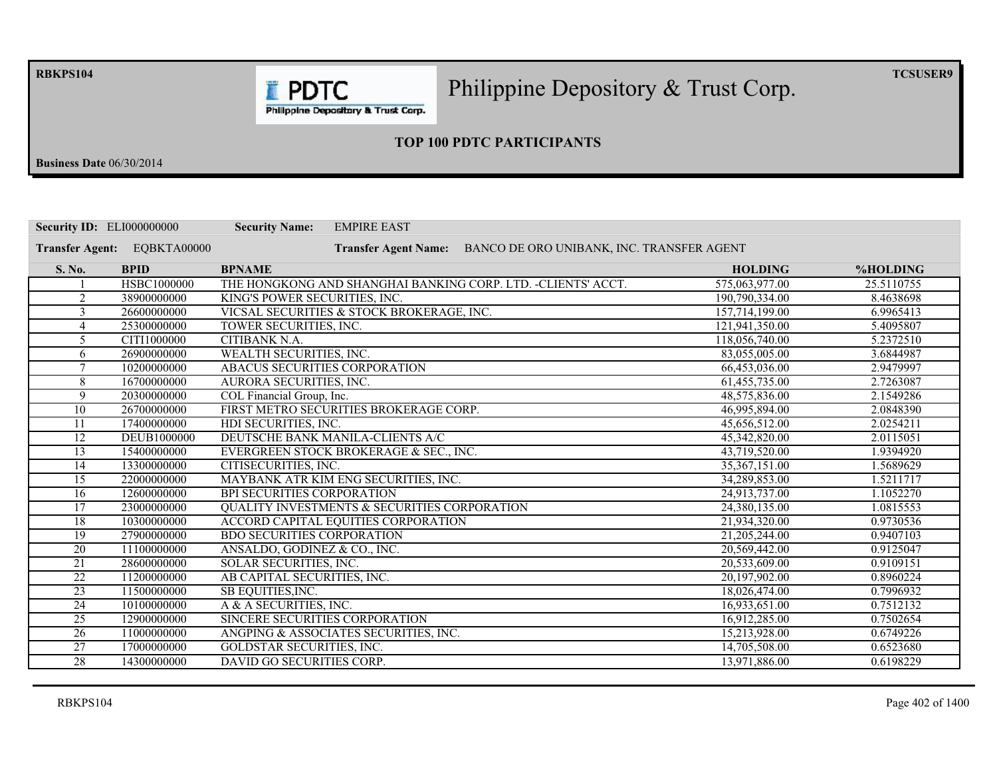**RBKPS104** 

Philippine Depository & Trust Corp.

 $TCSUSER9$ 

Philippine Depository & Trust Corp.

**E** PDTC

## **23 TOP 100 PDTC PARTICIPANTS**

**Business Date** 06/30/2014

| <b>Security ID: ELI000000000</b> |             | <b>EMPIRE EAST</b><br><b>Security Name:</b>                              |                 |            |
|----------------------------------|-------------|--------------------------------------------------------------------------|-----------------|------------|
| <b>Transfer Agent:</b>           | EQBKTA00000 | BANCO DE ORO UNIBANK, INC. TRANSFER AGENT<br><b>Transfer Agent Name:</b> |                 |            |
| S. No.                           | <b>BPID</b> | <b>BPNAME</b>                                                            | <b>HOLDING</b>  | %HOLDING   |
|                                  | HSBC1000000 | THE HONGKONG AND SHANGHAI BANKING CORP. LTD. -CLIENTS' ACCT.             | 575,063,977.00  | 25.5110755 |
| $\overline{2}$                   | 38900000000 | KING'S POWER SECURITIES, INC.                                            | 190,790,334.00  | 8.4638698  |
| 3                                | 26600000000 | VICSAL SECURITIES & STOCK BROKERAGE, INC.                                | 157.714.199.00  | 6.9965413  |
| $\overline{4}$                   | 25300000000 | TOWER SECURITIES, INC.                                                   | 121,941,350.00  | 5.4095807  |
| $\overline{5}$                   | CITI1000000 | CITIBANK N.A.                                                            | 118,056,740.00  | 5.2372510  |
| 6                                | 26900000000 | <b>WEALTH SECURITIES, INC.</b>                                           | 83,055,005.00   | 3.6844987  |
| $\tau$                           | 10200000000 | ABACUS SECURITIES CORPORATION                                            | 66,453,036.00   | 2.9479997  |
| 8                                | 16700000000 | AURORA SECURITIES, INC.                                                  | 61,455,735.00   | 2.7263087  |
| 9                                | 20300000000 | COL Financial Group, Inc.                                                | 48,575,836.00   | 2.1549286  |
| $\overline{10}$                  | 26700000000 | FIRST METRO SECURITIES BROKERAGE CORP.                                   | 46,995,894.00   | 2.0848390  |
| 11                               | 17400000000 | HDI SECURITIES, INC.                                                     | 45,656,512.00   | 2.0254211  |
| 12                               | DEUB1000000 | DEUTSCHE BANK MANILA-CLIENTS A/C                                         | 45,342,820.00   | 2.0115051  |
| 13                               | 15400000000 | EVERGREEN STOCK BROKERAGE & SEC., INC.                                   | 43,719,520.00   | 1.9394920  |
| 14                               | 13300000000 | CITISECURITIES, INC.                                                     | 35, 367, 151.00 | 1.5689629  |
| $\overline{15}$                  | 22000000000 | MAYBANK ATR KIM ENG SECURITIES, INC.                                     | 34,289,853.00   | 1.5211717  |
| 16                               | 12600000000 | BPI SECURITIES CORPORATION                                               | 24,913,737.00   | 1.1052270  |
| 17                               | 23000000000 | <b>QUALITY INVESTMENTS &amp; SECURITIES CORPORATION</b>                  | 24,380,135.00   | 1.0815553  |
| 18                               | 10300000000 | ACCORD CAPITAL EQUITIES CORPORATION                                      | 21,934,320.00   | 0.9730536  |
| $\overline{19}$                  | 27900000000 | <b>BDO SECURITIES CORPORATION</b>                                        | 21,205,244.00   | 0.9407103  |
| $\overline{20}$                  | 11100000000 | ANSALDO, GODINEZ & CO., INC.                                             | 20.569.442.00   | 0.9125047  |
| 21                               | 28600000000 | SOLAR SECURITIES, INC.                                                   | 20,533,609.00   | 0.9109151  |
| $\overline{22}$                  | 11200000000 | AB CAPITAL SECURITIES, INC.                                              | 20,197,902.00   | 0.8960224  |
| $\overline{23}$                  | 11500000000 | SB EQUITIES, INC.                                                        | 18,026,474.00   | 0.7996932  |
| $\overline{24}$                  | 10100000000 | A & A SECURITIES, INC.                                                   | 16,933,651.00   | 0.7512132  |
| $\overline{25}$                  | 12900000000 | SINCERE SECURITIES CORPORATION                                           | 16,912,285.00   | 0.7502654  |
| $\overline{26}$                  | 11000000000 | ANGPING & ASSOCIATES SECURITIES, INC.                                    | 15,213,928.00   | 0.6749226  |
| 27                               | 17000000000 | <b>GOLDSTAR SECURITIES, INC.</b>                                         | 14,705,508.00   | 0.6523680  |
| $\overline{28}$                  | 14300000000 | DAVID GO SECURITIES CORP.                                                | 13.971.886.00   | 0.6198229  |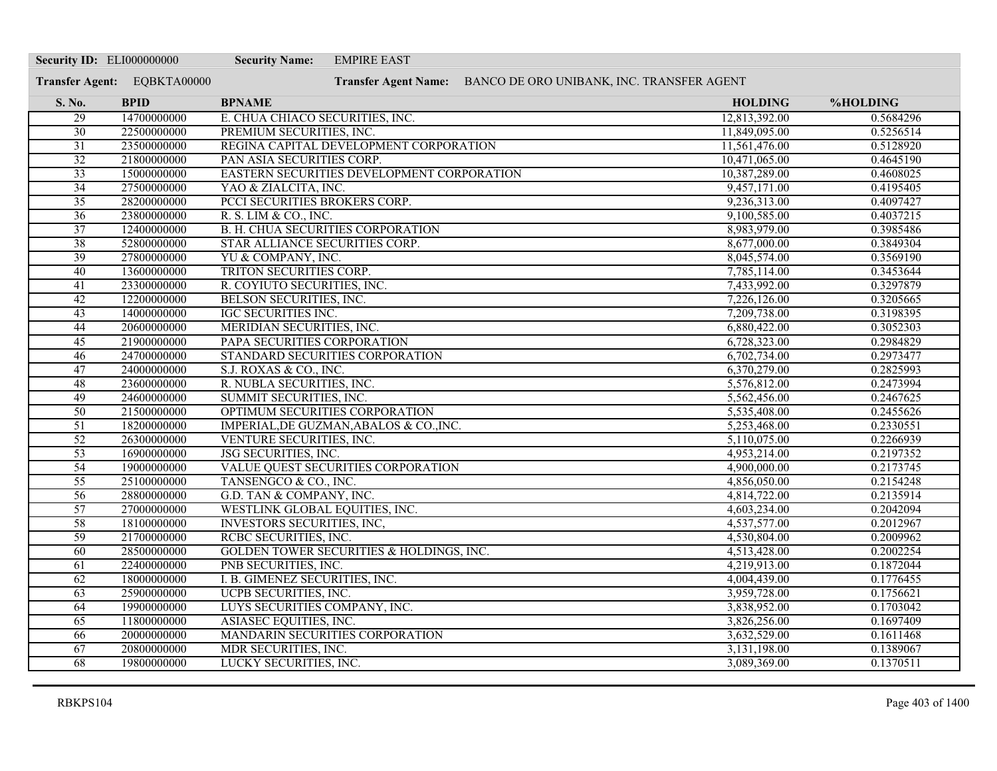| <b>Security ID: ELI000000000</b> |                             | <b>Security Name:</b><br><b>EMPIRE EAST</b>                    |                |           |
|----------------------------------|-----------------------------|----------------------------------------------------------------|----------------|-----------|
|                                  | Transfer Agent: EQBKTA00000 | Transfer Agent Name: BANCO DE ORO UNIBANK, INC. TRANSFER AGENT |                |           |
| S. No.                           | <b>BPID</b>                 | <b>BPNAME</b>                                                  | <b>HOLDING</b> | %HOLDING  |
| 29                               | 14700000000                 | E. CHUA CHIACO SECURITIES, INC.                                | 12,813,392.00  | 0.5684296 |
| $\overline{30}$                  | 22500000000                 | PREMIUM SECURITIES, INC.                                       | 11,849,095.00  | 0.5256514 |
| $\overline{31}$                  | 23500000000                 | REGINA CAPITAL DEVELOPMENT CORPORATION                         | 11,561,476.00  | 0.5128920 |
| 32                               | 21800000000                 | PAN ASIA SECURITIES CORP.                                      | 10,471,065.00  | 0.4645190 |
| $\overline{33}$                  | 15000000000                 | EASTERN SECURITIES DEVELOPMENT CORPORATION                     | 10,387,289.00  | 0.4608025 |
| $\overline{34}$                  | 27500000000                 | YAO & ZIALCITA, INC.                                           | 9,457,171.00   | 0.4195405 |
| $\overline{35}$                  | 28200000000                 | PCCI SECURITIES BROKERS CORP.                                  | 9,236,313.00   | 0.4097427 |
| $\overline{36}$                  | 23800000000                 | R. S. LIM & CO., INC.                                          | 9,100,585.00   | 0.4037215 |
| $\overline{37}$                  | 12400000000                 | <b>B. H. CHUA SECURITIES CORPORATION</b>                       | 8,983,979.00   | 0.3985486 |
| 38                               | 52800000000                 | STAR ALLIANCE SECURITIES CORP.                                 | 8,677,000.00   | 0.3849304 |
| 39                               | 27800000000                 | YU & COMPANY, INC.                                             | 8,045,574.00   | 0.3569190 |
| 40                               | 13600000000                 | TRITON SECURITIES CORP.                                        | 7,785,114.00   | 0.3453644 |
| $\overline{41}$                  | 23300000000                 | R. COYIUTO SECURITIES, INC.                                    | 7,433,992.00   | 0.3297879 |
| 42                               | 12200000000                 | BELSON SECURITIES, INC.                                        | 7,226,126.00   | 0.3205665 |
| 43                               | 14000000000                 | IGC SECURITIES INC.                                            | 7,209,738.00   | 0.3198395 |
| 44                               | 20600000000                 | MERIDIAN SECURITIES, INC.                                      | 6,880,422.00   | 0.3052303 |
| $\overline{45}$                  | 21900000000                 | PAPA SECURITIES CORPORATION                                    | 6,728,323.00   | 0.2984829 |
| 46                               | 24700000000                 | STANDARD SECURITIES CORPORATION                                | 6,702,734.00   | 0.2973477 |
| 47                               | 24000000000                 | S.J. ROXAS & CO., INC.                                         | 6,370,279.00   | 0.2825993 |
| 48                               | 23600000000                 | R. NUBLA SECURITIES, INC.                                      | 5,576,812.00   | 0.2473994 |
| 49                               | 24600000000                 | SUMMIT SECURITIES, INC.                                        | 5,562,456.00   | 0.2467625 |
| 50                               | 21500000000                 | OPTIMUM SECURITIES CORPORATION                                 | 5,535,408.00   | 0.2455626 |
| $\overline{51}$                  | 18200000000                 | IMPERIAL, DE GUZMAN, ABALOS & CO., INC.                        | 5,253,468.00   | 0.2330551 |
| $\overline{52}$                  | 26300000000                 | VENTURE SECURITIES, INC.                                       | 5,110,075.00   | 0.2266939 |
| 53                               | 16900000000                 | <b>JSG SECURITIES, INC.</b>                                    | 4,953,214.00   | 0.2197352 |
| 54                               | 19000000000                 | VALUE QUEST SECURITIES CORPORATION                             | 4,900,000.00   | 0.2173745 |
| $\overline{55}$                  | 25100000000                 | TANSENGCO & CO., INC.                                          | 4,856,050.00   | 0.2154248 |
| 56                               | 28800000000                 | G.D. TAN & COMPANY, INC.                                       | 4,814,722.00   | 0.2135914 |
| $\overline{57}$                  | 27000000000                 | WESTLINK GLOBAL EQUITIES, INC.                                 | 4,603,234.00   | 0.2042094 |
| 58                               | 18100000000                 | <b>INVESTORS SECURITIES, INC.</b>                              | 4,537,577.00   | 0.2012967 |
| 59                               | 21700000000                 | RCBC SECURITIES, INC.                                          | 4,530,804.00   | 0.2009962 |
| 60                               | 28500000000                 | GOLDEN TOWER SECURITIES & HOLDINGS, INC.                       | 4,513,428.00   | 0.2002254 |
| $\overline{61}$                  | 22400000000                 | PNB SECURITIES, INC.                                           | 4,219,913.00   | 0.1872044 |
| 62                               | 18000000000                 | I. B. GIMENEZ SECURITIES, INC.                                 | 4,004,439.00   | 0.1776455 |
| 63                               | 25900000000                 | UCPB SECURITIES, INC.                                          | 3,959,728.00   | 0.1756621 |
| 64                               | 19900000000                 | LUYS SECURITIES COMPANY, INC.                                  | 3,838,952.00   | 0.1703042 |
| $\overline{65}$                  | 11800000000                 | ASIASEC EQUITIES, INC.                                         | 3,826,256.00   | 0.1697409 |
| 66                               | 20000000000                 | MANDARIN SECURITIES CORPORATION                                | 3,632,529.00   | 0.1611468 |
| 67                               | 20800000000                 | MDR SECURITIES, INC.                                           | 3,131,198.00   | 0.1389067 |
| 68                               | 19800000000                 | LUCKY SECURITIES, INC.                                         | 3,089,369.00   | 0.1370511 |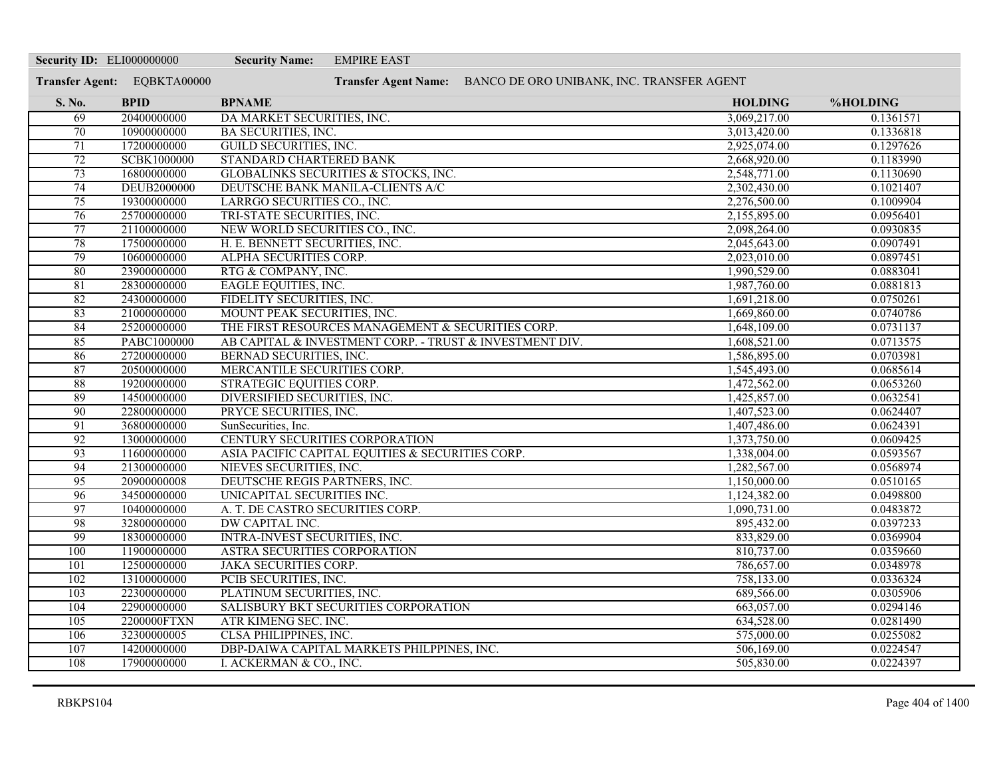| <b>Security ID: ELI000000000</b> |                             | <b>Security Name:</b><br><b>EMPIRE EAST</b>                    |                |                 |
|----------------------------------|-----------------------------|----------------------------------------------------------------|----------------|-----------------|
|                                  | Transfer Agent: EQBKTA00000 | Transfer Agent Name: BANCO DE ORO UNIBANK, INC. TRANSFER AGENT |                |                 |
| S. No.                           | <b>BPID</b>                 | <b>BPNAME</b>                                                  | <b>HOLDING</b> | <b>%HOLDING</b> |
| 69                               | 20400000000                 | DA MARKET SECURITIES, INC.                                     | 3,069,217.00   | 0.1361571       |
| $\overline{70}$                  | 10900000000                 | <b>BA SECURITIES, INC.</b>                                     | 3,013,420.00   | 0.1336818       |
| $\overline{71}$                  | 17200000000                 | <b>GUILD SECURITIES, INC.</b>                                  | 2,925,074.00   | 0.1297626       |
| $\overline{72}$                  | SCBK1000000                 | STANDARD CHARTERED BANK                                        | 2,668,920.00   | 0.1183990       |
| 73                               | 16800000000                 | GLOBALINKS SECURITIES & STOCKS, INC.                           | 2,548,771.00   | 0.1130690       |
| 74                               | <b>DEUB2000000</b>          | DEUTSCHE BANK MANILA-CLIENTS A/C                               | 2,302,430.00   | 0.1021407       |
| 75                               | 19300000000                 | LARRGO SECURITIES CO., INC.                                    | 2,276,500.00   | 0.1009904       |
| 76                               | 25700000000                 | TRI-STATE SECURITIES, INC.                                     | 2,155,895.00   | 0.0956401       |
| 77                               | 21100000000                 | NEW WORLD SECURITIES CO., INC.                                 | 2,098,264.00   | 0.0930835       |
| 78                               | 17500000000                 | H. E. BENNETT SECURITIES, INC.                                 | 2,045,643.00   | 0.0907491       |
| $\overline{79}$                  | 10600000000                 | ALPHA SECURITIES CORP.                                         | 2,023,010.00   | 0.0897451       |
| 80                               | 23900000000                 | RTG & COMPANY, INC.                                            | 1,990,529.00   | 0.0883041       |
| 81                               | 28300000000                 | <b>EAGLE EQUITIES, INC.</b>                                    | 1,987,760.00   | 0.0881813       |
| 82                               | 24300000000                 | FIDELITY SECURITIES, INC.                                      | 1,691,218.00   | 0.0750261       |
| 83                               | 21000000000                 | MOUNT PEAK SECURITIES, INC.                                    | 1,669,860.00   | 0.0740786       |
| 84                               | 25200000000                 | THE FIRST RESOURCES MANAGEMENT & SECURITIES CORP.              | 1,648,109.00   | 0.0731137       |
| 85                               | PABC1000000                 | AB CAPITAL & INVESTMENT CORP. - TRUST & INVESTMENT DIV.        | 1,608,521.00   | 0.0713575       |
| 86                               | 27200000000                 | BERNAD SECURITIES, INC.                                        | 1,586,895.00   | 0.0703981       |
| 87                               | 20500000000                 | MERCANTILE SECURITIES CORP.                                    | 1,545,493.00   | 0.0685614       |
| 88                               | 19200000000                 | STRATEGIC EQUITIES CORP.                                       | 1,472,562.00   | 0.0653260       |
| 89                               | 14500000000                 | DIVERSIFIED SECURITIES, INC.                                   | 1,425,857.00   | 0.0632541       |
| 90                               | 22800000000                 | PRYCE SECURITIES, INC.                                         | 1,407,523.00   | 0.0624407       |
| 91                               | 36800000000                 | SunSecurities, Inc.                                            | 1,407,486.00   | 0.0624391       |
| 92                               | 13000000000                 | CENTURY SECURITIES CORPORATION                                 | 1,373,750.00   | 0.0609425       |
| 93                               | 11600000000                 | ASIA PACIFIC CAPITAL EQUITIES & SECURITIES CORP.               | 1,338,004.00   | 0.0593567       |
| 94                               | 21300000000                 | NIEVES SECURITIES, INC.                                        | 1,282,567.00   | 0.0568974       |
| 95                               | 20900000008                 | DEUTSCHE REGIS PARTNERS, INC.                                  | 1,150,000.00   | 0.0510165       |
| 96                               | 34500000000                 | UNICAPITAL SECURITIES INC.                                     | 1,124,382.00   | 0.0498800       |
| 97                               | 10400000000                 | A. T. DE CASTRO SECURITIES CORP.                               | 1,090,731.00   | 0.0483872       |
| 98                               | 32800000000                 | <b>DW CAPITAL INC.</b>                                         | 895,432.00     | 0.0397233       |
| 99                               | 18300000000                 | <b>INTRA-INVEST SECURITIES, INC.</b>                           | 833,829.00     | 0.0369904       |
| 100                              | 11900000000                 | ASTRA SECURITIES CORPORATION                                   | 810,737.00     | 0.0359660       |
| 101                              | 12500000000                 | <b>JAKA SECURITIES CORP.</b>                                   | 786,657.00     | 0.0348978       |
| 102                              | 13100000000                 | PCIB SECURITIES, INC.                                          | 758,133.00     | 0.0336324       |
| $\overline{103}$                 | 22300000000                 | PLATINUM SECURITIES, INC.                                      | 689,566.00     | 0.0305906       |
| 104                              | 22900000000                 | SALISBURY BKT SECURITIES CORPORATION                           | 663,057.00     | 0.0294146       |
| 105                              | 2200000FTXN                 | ATR KIMENG SEC. INC.                                           | 634,528.00     | 0.0281490       |
| 106                              | 32300000005                 | CLSA PHILIPPINES, INC.                                         | 575,000.00     | 0.0255082       |
| 107                              | 14200000000                 | DBP-DAIWA CAPITAL MARKETS PHILPPINES, INC.                     | 506,169.00     | 0.0224547       |
| 108                              | 17900000000                 | I. ACKERMAN & CO., INC.                                        | 505,830.00     | 0.0224397       |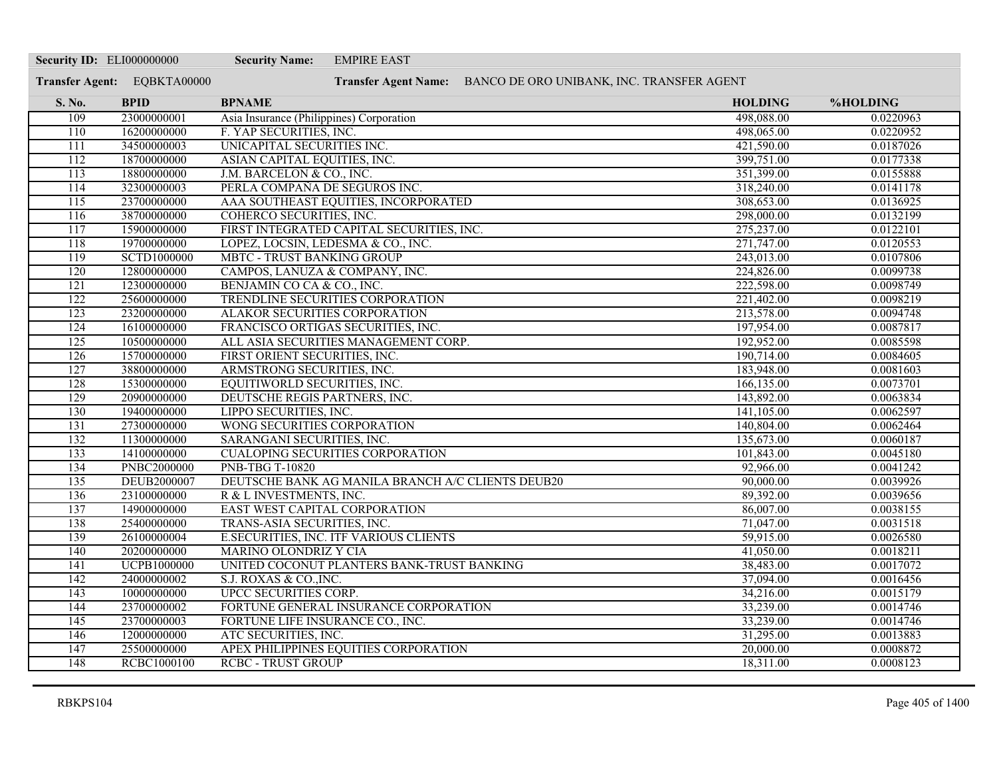| <b>Security ID: ELI000000000</b> |                             | <b>Security Name:</b>                    | <b>EMPIRE EAST</b>                                             |                         |                        |
|----------------------------------|-----------------------------|------------------------------------------|----------------------------------------------------------------|-------------------------|------------------------|
|                                  | Transfer Agent: EQBKTA00000 |                                          | Transfer Agent Name: BANCO DE ORO UNIBANK, INC. TRANSFER AGENT |                         |                        |
| S. No.                           | <b>BPID</b>                 | <b>BPNAME</b>                            |                                                                | <b>HOLDING</b>          | %HOLDING               |
| 109                              | 23000000001                 | Asia Insurance (Philippines) Corporation |                                                                | 498,088.00              | 0.0220963              |
| 110                              | 16200000000                 | F. YAP SECURITIES, INC.                  |                                                                | 498,065.00              | 0.0220952              |
| $\overline{111}$                 | 34500000003                 | UNICAPITAL SECURITIES INC.               |                                                                | 421,590.00              | 0.0187026              |
| 112                              | 18700000000                 | ASIAN CAPITAL EQUITIES, INC.             |                                                                | 399,751.00              | 0.0177338              |
| 113                              | 18800000000                 | J.M. BARCELON & CO., INC.                |                                                                | 351,399.00              | 0.0155888              |
| 114                              | 32300000003                 | PERLA COMPAÑA DE SEGUROS INC.            |                                                                | 318,240.00              | 0.0141178              |
| $\overline{115}$                 | 23700000000                 |                                          | AAA SOUTHEAST EQUITIES, INCORPORATED                           | 308,653.00              | 0.0136925              |
| 116                              | 38700000000                 | COHERCO SECURITIES, INC.                 |                                                                | 298,000.00              | 0.0132199              |
| 117                              | 15900000000                 |                                          | FIRST INTEGRATED CAPITAL SECURITIES, INC.                      | 275,237.00              | 0.0122101              |
| 118                              | 19700000000                 | LOPEZ, LOCSIN, LEDESMA & CO., INC.       |                                                                | 271,747.00              | 0.0120553              |
| 119                              | <b>SCTD1000000</b>          | <b>MBTC - TRUST BANKING GROUP</b>        |                                                                | 243,013.00              | 0.0107806              |
| 120                              | 12800000000                 | CAMPOS, LANUZA & COMPANY, INC.           |                                                                | 224,826.00              | 0.0099738              |
| 121                              | 12300000000                 | BENJAMIN CO CA & CO., INC.               |                                                                | 222,598.00              | 0.0098749              |
| 122                              | 25600000000                 |                                          | TRENDLINE SECURITIES CORPORATION                               | 221,402.00              | 0.0098219              |
| 123                              | 23200000000                 | ALAKOR SECURITIES CORPORATION            |                                                                | 213,578.00              | 0.0094748              |
| 124                              | 16100000000                 |                                          | FRANCISCO ORTIGAS SECURITIES, INC.                             | 197,954.00              | 0.0087817              |
| 125                              | 10500000000                 |                                          | ALL ASIA SECURITIES MANAGEMENT CORP.                           | 192,952.00              | 0.0085598              |
| $\overline{126}$                 | 15700000000                 | FIRST ORIENT SECURITIES, INC.            |                                                                | 190,714.00              | 0.0084605              |
| 127                              | 38800000000                 | ARMSTRONG SECURITIES, INC.               |                                                                | 183,948.00              | 0.0081603              |
| 128                              | 15300000000                 | EQUITIWORLD SECURITIES, INC.             |                                                                | 166,135.00              | 0.0073701              |
| 129                              | 20900000000                 | DEUTSCHE REGIS PARTNERS, INC.            |                                                                | 143,892.00              | 0.0063834              |
| 130                              | 19400000000                 | LIPPO SECURITIES, INC.                   |                                                                | 141,105.00              | 0.0062597              |
| 131                              | 27300000000                 | WONG SECURITIES CORPORATION              |                                                                | 140,804.00              | 0.0062464              |
| 132<br>133                       | 11300000000<br>14100000000  | SARANGANI SECURITIES, INC.               | <b>CUALOPING SECURITIES CORPORATION</b>                        | 135,673.00              | 0.0060187              |
| 134                              | <b>PNBC2000000</b>          | <b>PNB-TBG T-10820</b>                   |                                                                | 101,843.00<br>92,966.00 | 0.0045180<br>0.0041242 |
| 135                              | DEUB2000007                 |                                          | DEUTSCHE BANK AG MANILA BRANCH A/C CLIENTS DEUB20              | 90,000.00               | 0.0039926              |
| 136                              | 23100000000                 | R & L INVESTMENTS, INC.                  |                                                                | 89,392.00               | 0.0039656              |
| 137                              | 14900000000                 | EAST WEST CAPITAL CORPORATION            |                                                                | 86,007.00               | 0.0038155              |
| 138                              | 25400000000                 | TRANS-ASIA SECURITIES, INC.              |                                                                | 71,047.00               | 0.0031518              |
| 139                              | 26100000004                 |                                          | E.SECURITIES, INC. ITF VARIOUS CLIENTS                         | 59,915.00               | 0.0026580              |
| 140                              | 20200000000                 | <b>MARINO OLONDRIZ Y CIA</b>             |                                                                | 41,050.00               | 0.0018211              |
| 141                              | <b>UCPB1000000</b>          |                                          | UNITED COCONUT PLANTERS BANK-TRUST BANKING                     | 38,483.00               | 0.0017072              |
| 142                              | 24000000002                 | S.J. ROXAS & CO., INC.                   |                                                                | 37,094.00               | 0.0016456              |
| 143                              | 10000000000                 | <b>UPCC SECURITIES CORP.</b>             |                                                                | 34,216.00               | 0.0015179              |
| 144                              | 23700000002                 |                                          | FORTUNE GENERAL INSURANCE CORPORATION                          | 33,239.00               | 0.0014746              |
| 145                              | 23700000003                 | FORTUNE LIFE INSURANCE CO., INC.         |                                                                | 33,239.00               | 0.0014746              |
| 146                              | 12000000000                 | ATC SECURITIES, INC.                     |                                                                | 31,295.00               | 0.0013883              |
| 147                              | 25500000000                 |                                          | APEX PHILIPPINES EQUITIES CORPORATION                          | 20,000.00               | 0.0008872              |
| 148                              | <b>RCBC1000100</b>          | <b>RCBC - TRUST GROUP</b>                |                                                                | 18,311.00               | 0.0008123              |
|                                  |                             |                                          |                                                                |                         |                        |